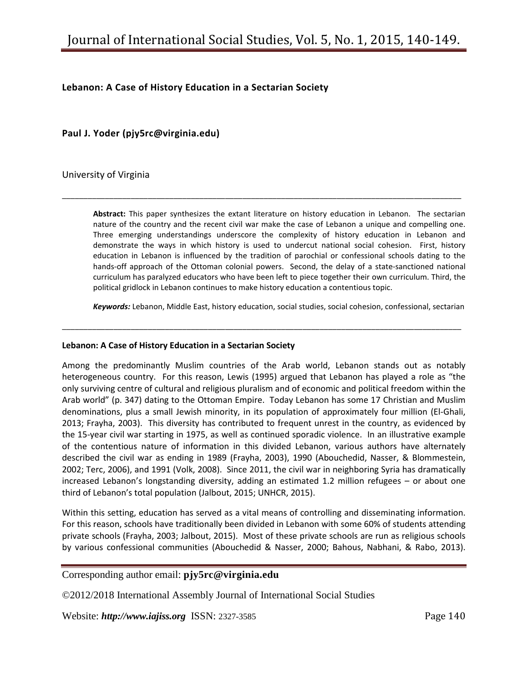# **Lebanon: A Case of History Education in a Sectarian Society**

**Paul J. Yoder (pjy5rc@virginia.edu)**

University of Virginia

**Abstract:** This paper synthesizes the extant literature on history education in Lebanon. The sectarian nature of the country and the recent civil war make the case of Lebanon a unique and compelling one. Three emerging understandings underscore the complexity of history education in Lebanon and demonstrate the ways in which history is used to undercut national social cohesion. First, history education in Lebanon is influenced by the tradition of parochial or confessional schools dating to the hands-off approach of the Ottoman colonial powers. Second, the delay of a state-sanctioned national curriculum has paralyzed educators who have been left to piece together their own curriculum. Third, the political gridlock in Lebanon continues to make history education a contentious topic.

\_\_\_\_\_\_\_\_\_\_\_\_\_\_\_\_\_\_\_\_\_\_\_\_\_\_\_\_\_\_\_\_\_\_\_\_\_\_\_\_\_\_\_\_\_\_\_\_\_\_\_\_\_\_\_\_\_\_\_\_\_\_\_\_\_\_\_\_\_\_\_\_\_\_\_\_\_\_\_\_\_\_\_\_\_\_\_\_\_\_\_\_\_

*Keywords:* Lebanon, Middle East, history education, social studies, social cohesion, confessional, sectarian

\_\_\_\_\_\_\_\_\_\_\_\_\_\_\_\_\_\_\_\_\_\_\_\_\_\_\_\_\_\_\_\_\_\_\_\_\_\_\_\_\_\_\_\_\_\_\_\_\_\_\_\_\_\_\_\_\_\_\_\_\_\_\_\_\_\_\_\_\_\_\_\_\_\_\_\_\_\_\_\_\_\_\_\_\_\_\_\_\_\_\_\_\_

#### **Lebanon: A Case of History Education in a Sectarian Society**

Among the predominantly Muslim countries of the Arab world, Lebanon stands out as notably heterogeneous country. For this reason, Lewis (1995) argued that Lebanon has played a role as "the only surviving centre of cultural and religious pluralism and of economic and political freedom within the Arab world" (p. 347) dating to the Ottoman Empire. Today Lebanon has some 17 Christian and Muslim denominations, plus a small Jewish minority, in its population of approximately four million (El-Ghali, 2013; Frayha, 2003). This diversity has contributed to frequent unrest in the country, as evidenced by the 15-year civil war starting in 1975, as well as continued sporadic violence. In an illustrative example of the contentious nature of information in this divided Lebanon, various authors have alternately described the civil war as ending in 1989 (Frayha, 2003), 1990 (Abouchedid, Nasser, & Blommestein, 2002; Terc, 2006), and 1991 (Volk, 2008). Since 2011, the civil war in neighboring Syria has dramatically increased Lebanon's longstanding diversity, adding an estimated 1.2 million refugees – or about one third of Lebanon's total population (Jalbout, 2015; UNHCR, 2015).

Within this setting, education has served as a vital means of controlling and disseminating information. For this reason, schools have traditionally been divided in Lebanon with some 60% of students attending private schools (Frayha, 2003; Jalbout, 2015). Most of these private schools are run as religious schools by various confessional communities (Abouchedid & Nasser, 2000; Bahous, Nabhani, & Rabo, 2013).

#### Corresponding author email: **pjy5rc@virginia.edu**

©2012/2018 International Assembly Journal of International Social Studies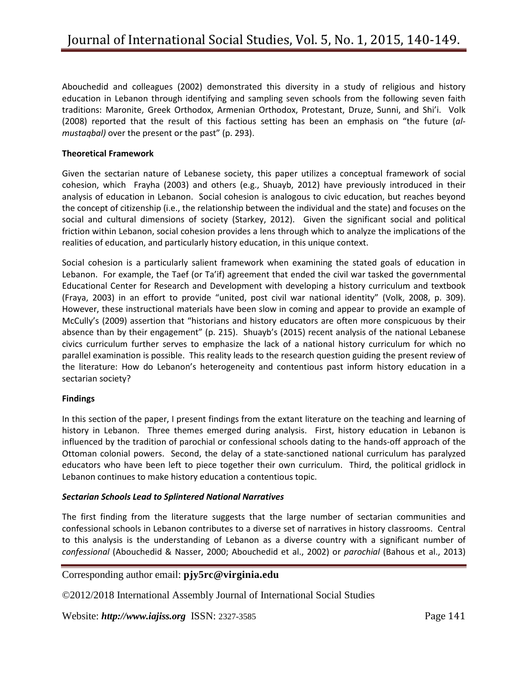Abouchedid and colleagues (2002) demonstrated this diversity in a study of religious and history education in Lebanon through identifying and sampling seven schools from the following seven faith traditions: Maronite, Greek Orthodox, Armenian Orthodox, Protestant, Druze, Sunni, and Shi'i. Volk (2008) reported that the result of this factious setting has been an emphasis on "the future (*almustaqbal)* over the present or the past" (p. 293).

#### **Theoretical Framework**

Given the sectarian nature of Lebanese society, this paper utilizes a conceptual framework of social cohesion, which Frayha (2003) and others (e.g., Shuayb, 2012) have previously introduced in their analysis of education in Lebanon. Social cohesion is analogous to civic education, but reaches beyond the concept of citizenship (i.e., the relationship between the individual and the state) and focuses on the social and cultural dimensions of society (Starkey, 2012). Given the significant social and political friction within Lebanon, social cohesion provides a lens through which to analyze the implications of the realities of education, and particularly history education, in this unique context.

Social cohesion is a particularly salient framework when examining the stated goals of education in Lebanon. For example, the Taef (or Ta'if) agreement that ended the civil war tasked the governmental Educational Center for Research and Development with developing a history curriculum and textbook (Fraya, 2003) in an effort to provide "united, post civil war national identity" (Volk, 2008, p. 309). However, these instructional materials have been slow in coming and appear to provide an example of McCully's (2009) assertion that "historians and history educators are often more conspicuous by their absence than by their engagement" (p. 215). Shuayb's (2015) recent analysis of the national Lebanese civics curriculum further serves to emphasize the lack of a national history curriculum for which no parallel examination is possible. This reality leads to the research question guiding the present review of the literature: How do Lebanon's heterogeneity and contentious past inform history education in a sectarian society?

## **Findings**

In this section of the paper, I present findings from the extant literature on the teaching and learning of history in Lebanon. Three themes emerged during analysis. First, history education in Lebanon is influenced by the tradition of parochial or confessional schools dating to the hands-off approach of the Ottoman colonial powers. Second, the delay of a state-sanctioned national curriculum has paralyzed educators who have been left to piece together their own curriculum. Third, the political gridlock in Lebanon continues to make history education a contentious topic.

## *Sectarian Schools Lead to Splintered National Narratives*

The first finding from the literature suggests that the large number of sectarian communities and confessional schools in Lebanon contributes to a diverse set of narratives in history classrooms. Central to this analysis is the understanding of Lebanon as a diverse country with a significant number of *confessional* (Abouchedid & Nasser, 2000; Abouchedid et al., 2002) or *parochial* (Bahous et al., 2013)

## Corresponding author email: **pjy5rc@virginia.edu**

©2012/2018 International Assembly Journal of International Social Studies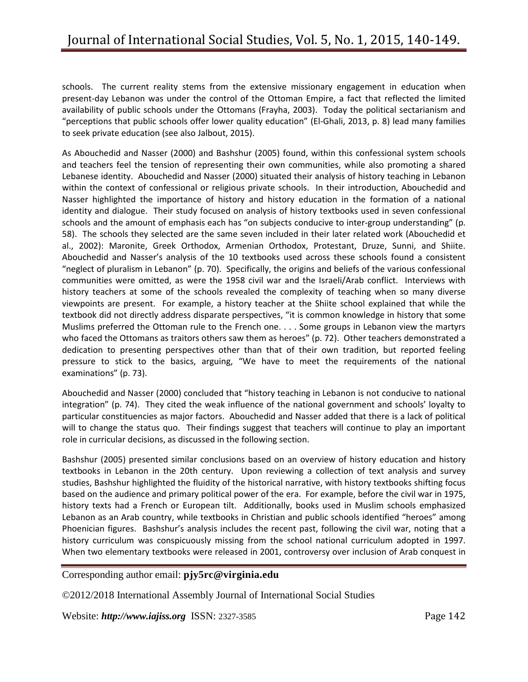schools. The current reality stems from the extensive missionary engagement in education when present-day Lebanon was under the control of the Ottoman Empire, a fact that reflected the limited availability of public schools under the Ottomans (Frayha, 2003). Today the political sectarianism and "perceptions that public schools offer lower quality education" (El-Ghali, 2013, p. 8) lead many families to seek private education (see also Jalbout, 2015).

As Abouchedid and Nasser (2000) and Bashshur (2005) found, within this confessional system schools and teachers feel the tension of representing their own communities, while also promoting a shared Lebanese identity. Abouchedid and Nasser (2000) situated their analysis of history teaching in Lebanon within the context of confessional or religious private schools. In their introduction, Abouchedid and Nasser highlighted the importance of history and history education in the formation of a national identity and dialogue. Their study focused on analysis of history textbooks used in seven confessional schools and the amount of emphasis each has "on subjects conducive to inter-group understanding" (p. 58). The schools they selected are the same seven included in their later related work (Abouchedid et al., 2002): Maronite, Greek Orthodox, Armenian Orthodox, Protestant, Druze, Sunni, and Shiite. Abouchedid and Nasser's analysis of the 10 textbooks used across these schools found a consistent "neglect of pluralism in Lebanon" (p. 70). Specifically, the origins and beliefs of the various confessional communities were omitted, as were the 1958 civil war and the Israeli/Arab conflict. Interviews with history teachers at some of the schools revealed the complexity of teaching when so many diverse viewpoints are present. For example, a history teacher at the Shiite school explained that while the textbook did not directly address disparate perspectives, "it is common knowledge in history that some Muslims preferred the Ottoman rule to the French one. . . . Some groups in Lebanon view the martyrs who faced the Ottomans as traitors others saw them as heroes" (p. 72). Other teachers demonstrated a dedication to presenting perspectives other than that of their own tradition, but reported feeling pressure to stick to the basics, arguing, "We have to meet the requirements of the national examinations" (p. 73).

Abouchedid and Nasser (2000) concluded that "history teaching in Lebanon is not conducive to national integration" (p. 74). They cited the weak influence of the national government and schools' loyalty to particular constituencies as major factors. Abouchedid and Nasser added that there is a lack of political will to change the status quo. Their findings suggest that teachers will continue to play an important role in curricular decisions, as discussed in the following section.

Bashshur (2005) presented similar conclusions based on an overview of history education and history textbooks in Lebanon in the 20th century. Upon reviewing a collection of text analysis and survey studies, Bashshur highlighted the fluidity of the historical narrative, with history textbooks shifting focus based on the audience and primary political power of the era. For example, before the civil war in 1975, history texts had a French or European tilt. Additionally, books used in Muslim schools emphasized Lebanon as an Arab country, while textbooks in Christian and public schools identified "heroes" among Phoenician figures. Bashshur's analysis includes the recent past, following the civil war, noting that a history curriculum was conspicuously missing from the school national curriculum adopted in 1997. When two elementary textbooks were released in 2001, controversy over inclusion of Arab conquest in

## Corresponding author email: **pjy5rc@virginia.edu**

©2012/2018 International Assembly Journal of International Social Studies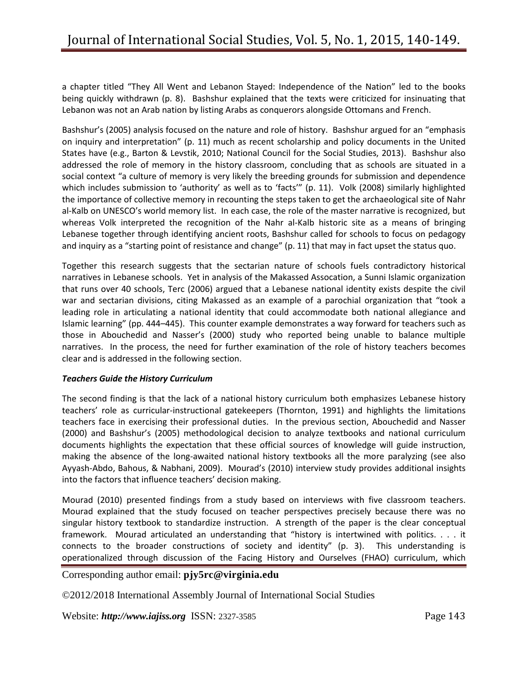a chapter titled "They All Went and Lebanon Stayed: Independence of the Nation" led to the books being quickly withdrawn (p. 8). Bashshur explained that the texts were criticized for insinuating that Lebanon was not an Arab nation by listing Arabs as conquerors alongside Ottomans and French.

Bashshur's (2005) analysis focused on the nature and role of history. Bashshur argued for an "emphasis on inquiry and interpretation" (p. 11) much as recent scholarship and policy documents in the United States have (e.g., Barton & Levstik, 2010; National Council for the Social Studies, 2013). Bashshur also addressed the role of memory in the history classroom, concluding that as schools are situated in a social context "a culture of memory is very likely the breeding grounds for submission and dependence which includes submission to 'authority' as well as to 'facts'" (p. 11). Volk (2008) similarly highlighted the importance of collective memory in recounting the steps taken to get the archaeological site of Nahr al-Kalb on UNESCO's world memory list. In each case, the role of the master narrative is recognized, but whereas Volk interpreted the recognition of the Nahr al-Kalb historic site as a means of bringing Lebanese together through identifying ancient roots, Bashshur called for schools to focus on pedagogy and inquiry as a "starting point of resistance and change" (p. 11) that may in fact upset the status quo.

Together this research suggests that the sectarian nature of schools fuels contradictory historical narratives in Lebanese schools. Yet in analysis of the Makassed Assocation, a Sunni Islamic organization that runs over 40 schools, Terc (2006) argued that a Lebanese national identity exists despite the civil war and sectarian divisions, citing Makassed as an example of a parochial organization that "took a leading role in articulating a national identity that could accommodate both national allegiance and Islamic learning" (pp. 444–445). This counter example demonstrates a way forward for teachers such as those in Abouchedid and Nasser's (2000) study who reported being unable to balance multiple narratives. In the process, the need for further examination of the role of history teachers becomes clear and is addressed in the following section.

## *Teachers Guide the History Curriculum*

The second finding is that the lack of a national history curriculum both emphasizes Lebanese history teachers' role as curricular-instructional gatekeepers (Thornton, 1991) and highlights the limitations teachers face in exercising their professional duties. In the previous section, Abouchedid and Nasser (2000) and Bashshur's (2005) methodological decision to analyze textbooks and national curriculum documents highlights the expectation that these official sources of knowledge will guide instruction, making the absence of the long-awaited national history textbooks all the more paralyzing (see also Ayyash-Abdo, Bahous, & Nabhani, 2009). Mourad's (2010) interview study provides additional insights into the factors that influence teachers' decision making.

Mourad (2010) presented findings from a study based on interviews with five classroom teachers. Mourad explained that the study focused on teacher perspectives precisely because there was no singular history textbook to standardize instruction. A strength of the paper is the clear conceptual framework. Mourad articulated an understanding that "history is intertwined with politics. . . . it connects to the broader constructions of society and identity" (p. 3). This understanding is operationalized through discussion of the Facing History and Ourselves (FHAO) curriculum, which

## Corresponding author email: **pjy5rc@virginia.edu**

©2012/2018 International Assembly Journal of International Social Studies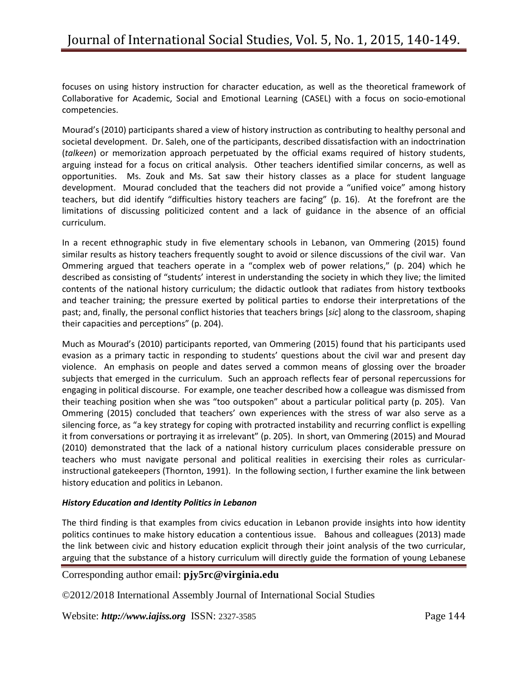focuses on using history instruction for character education, as well as the theoretical framework of Collaborative for Academic, Social and Emotional Learning (CASEL) with a focus on socio-emotional competencies.

Mourad's (2010) participants shared a view of history instruction as contributing to healthy personal and societal development. Dr. Saleh, one of the participants, described dissatisfaction with an indoctrination (*talkeen*) or memorization approach perpetuated by the official exams required of history students, arguing instead for a focus on critical analysis. Other teachers identified similar concerns, as well as opportunities. Ms. Zouk and Ms. Sat saw their history classes as a place for student language development. Mourad concluded that the teachers did not provide a "unified voice" among history teachers, but did identify "difficulties history teachers are facing" (p. 16). At the forefront are the limitations of discussing politicized content and a lack of guidance in the absence of an official curriculum.

In a recent ethnographic study in five elementary schools in Lebanon, van Ommering (2015) found similar results as history teachers frequently sought to avoid or silence discussions of the civil war. Van Ommering argued that teachers operate in a "complex web of power relations," (p. 204) which he described as consisting of "students' interest in understanding the society in which they live; the limited contents of the national history curriculum; the didactic outlook that radiates from history textbooks and teacher training; the pressure exerted by political parties to endorse their interpretations of the past; and, finally, the personal conflict histories that teachers brings [*sic*] along to the classroom, shaping their capacities and perceptions" (p. 204).

Much as Mourad's (2010) participants reported, van Ommering (2015) found that his participants used evasion as a primary tactic in responding to students' questions about the civil war and present day violence. An emphasis on people and dates served a common means of glossing over the broader subjects that emerged in the curriculum. Such an approach reflects fear of personal repercussions for engaging in political discourse. For example, one teacher described how a colleague was dismissed from their teaching position when she was "too outspoken" about a particular political party (p. 205). Van Ommering (2015) concluded that teachers' own experiences with the stress of war also serve as a silencing force, as "a key strategy for coping with protracted instability and recurring conflict is expelling it from conversations or portraying it as irrelevant" (p. 205). In short, van Ommering (2015) and Mourad (2010) demonstrated that the lack of a national history curriculum places considerable pressure on teachers who must navigate personal and political realities in exercising their roles as curricularinstructional gatekeepers (Thornton, 1991). In the following section, I further examine the link between history education and politics in Lebanon.

## *History Education and Identity Politics in Lebanon*

The third finding is that examples from civics education in Lebanon provide insights into how identity politics continues to make history education a contentious issue. Bahous and colleagues (2013) made the link between civic and history education explicit through their joint analysis of the two curricular, arguing that the substance of a history curriculum will directly guide the formation of young Lebanese

## Corresponding author email: **pjy5rc@virginia.edu**

©2012/2018 International Assembly Journal of International Social Studies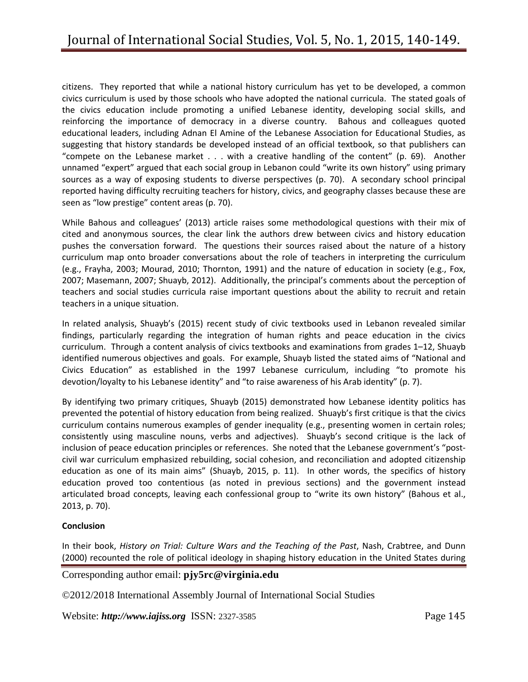citizens. They reported that while a national history curriculum has yet to be developed, a common civics curriculum is used by those schools who have adopted the national curricula. The stated goals of the civics education include promoting a unified Lebanese identity, developing social skills, and reinforcing the importance of democracy in a diverse country. Bahous and colleagues quoted educational leaders, including Adnan El Amine of the Lebanese Association for Educational Studies, as suggesting that history standards be developed instead of an official textbook, so that publishers can "compete on the Lebanese market  $\dots$  with a creative handling of the content" (p. 69). Another unnamed "expert" argued that each social group in Lebanon could "write its own history" using primary sources as a way of exposing students to diverse perspectives (p. 70). A secondary school principal reported having difficulty recruiting teachers for history, civics, and geography classes because these are seen as "low prestige" content areas (p. 70).

While Bahous and colleagues' (2013) article raises some methodological questions with their mix of cited and anonymous sources, the clear link the authors drew between civics and history education pushes the conversation forward. The questions their sources raised about the nature of a history curriculum map onto broader conversations about the role of teachers in interpreting the curriculum (e.g., Frayha, 2003; Mourad, 2010; Thornton, 1991) and the nature of education in society (e.g., Fox, 2007; Masemann, 2007; Shuayb, 2012). Additionally, the principal's comments about the perception of teachers and social studies curricula raise important questions about the ability to recruit and retain teachers in a unique situation.

In related analysis, Shuayb's (2015) recent study of civic textbooks used in Lebanon revealed similar findings, particularly regarding the integration of human rights and peace education in the civics curriculum. Through a content analysis of civics textbooks and examinations from grades 1–12, Shuayb identified numerous objectives and goals. For example, Shuayb listed the stated aims of "National and Civics Education" as established in the 1997 Lebanese curriculum, including "to promote his devotion/loyalty to his Lebanese identity" and "to raise awareness of his Arab identity" (p. 7).

By identifying two primary critiques, Shuayb (2015) demonstrated how Lebanese identity politics has prevented the potential of history education from being realized. Shuayb's first critique is that the civics curriculum contains numerous examples of gender inequality (e.g., presenting women in certain roles; consistently using masculine nouns, verbs and adjectives). Shuayb's second critique is the lack of inclusion of peace education principles or references. She noted that the Lebanese government's "postcivil war curriculum emphasized rebuilding, social cohesion, and reconciliation and adopted citizenship education as one of its main aims" (Shuayb, 2015, p. 11). In other words, the specifics of history education proved too contentious (as noted in previous sections) and the government instead articulated broad concepts, leaving each confessional group to "write its own history" (Bahous et al., 2013, p. 70).

## **Conclusion**

In their book, *History on Trial: Culture Wars and the Teaching of the Past*, Nash, Crabtree, and Dunn (2000) recounted the role of political ideology in shaping history education in the United States during

# Corresponding author email: **pjy5rc@virginia.edu**

©2012/2018 International Assembly Journal of International Social Studies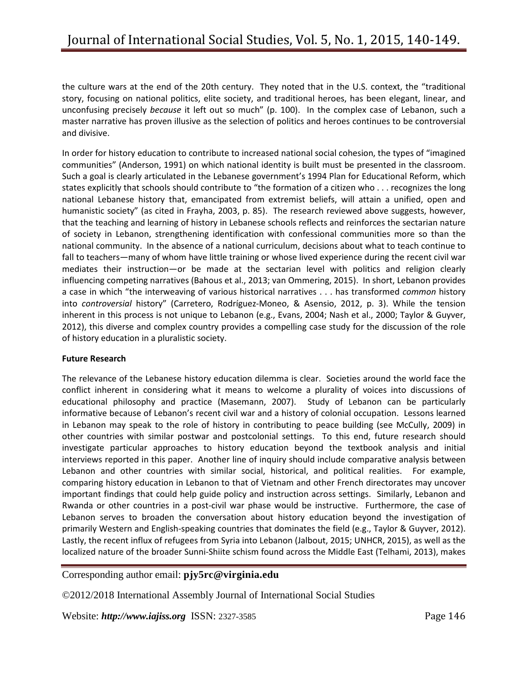the culture wars at the end of the 20th century. They noted that in the U.S. context, the "traditional story, focusing on national politics, elite society, and traditional heroes, has been elegant, linear, and unconfusing precisely *because* it left out so much" (p. 100). In the complex case of Lebanon, such a master narrative has proven illusive as the selection of politics and heroes continues to be controversial and divisive.

In order for history education to contribute to increased national social cohesion, the types of "imagined communities" (Anderson, 1991) on which national identity is built must be presented in the classroom. Such a goal is clearly articulated in the Lebanese government's 1994 Plan for Educational Reform, which states explicitly that schools should contribute to "the formation of a citizen who . . . recognizes the long national Lebanese history that, emancipated from extremist beliefs, will attain a unified, open and humanistic society" (as cited in Frayha, 2003, p. 85). The research reviewed above suggests, however, that the teaching and learning of history in Lebanese schools reflects and reinforces the sectarian nature of society in Lebanon, strengthening identification with confessional communities more so than the national community. In the absence of a national curriculum, decisions about what to teach continue to fall to teachers—many of whom have little training or whose lived experience during the recent civil war mediates their instruction—or be made at the sectarian level with politics and religion clearly influencing competing narratives (Bahous et al., 2013; van Ommering, 2015). In short, Lebanon provides a case in which "the interweaving of various historical narratives . . . has transformed *common* history into *controversial* history" (Carretero, Rodríguez-Moneo, & Asensio, 2012, p. 3). While the tension inherent in this process is not unique to Lebanon (e.g., Evans, 2004; Nash et al., 2000; Taylor & Guyver, 2012), this diverse and complex country provides a compelling case study for the discussion of the role of history education in a pluralistic society.

## **Future Research**

The relevance of the Lebanese history education dilemma is clear. Societies around the world face the conflict inherent in considering what it means to welcome a plurality of voices into discussions of educational philosophy and practice (Masemann, 2007). Study of Lebanon can be particularly informative because of Lebanon's recent civil war and a history of colonial occupation. Lessons learned in Lebanon may speak to the role of history in contributing to peace building (see McCully, 2009) in other countries with similar postwar and postcolonial settings. To this end, future research should investigate particular approaches to history education beyond the textbook analysis and initial interviews reported in this paper. Another line of inquiry should include comparative analysis between Lebanon and other countries with similar social, historical, and political realities. For example, comparing history education in Lebanon to that of Vietnam and other French directorates may uncover important findings that could help guide policy and instruction across settings. Similarly, Lebanon and Rwanda or other countries in a post-civil war phase would be instructive. Furthermore, the case of Lebanon serves to broaden the conversation about history education beyond the investigation of primarily Western and English-speaking countries that dominates the field (e.g., Taylor & Guyver, 2012). Lastly, the recent influx of refugees from Syria into Lebanon (Jalbout, 2015; UNHCR, 2015), as well as the localized nature of the broader Sunni-Shiite schism found across the Middle East (Telhami, 2013), makes

## Corresponding author email: **pjy5rc@virginia.edu**

©2012/2018 International Assembly Journal of International Social Studies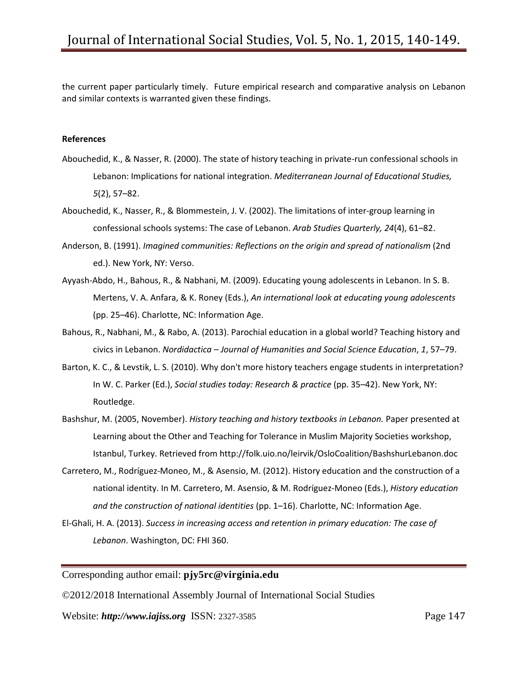the current paper particularly timely. Future empirical research and comparative analysis on Lebanon and similar contexts is warranted given these findings.

#### **References**

- Abouchedid, K., & Nasser, R. (2000). The state of history teaching in private-run confessional schools in Lebanon: Implications for national integration. *Mediterranean Journal of Educational Studies, 5*(2), 57–82.
- Abouchedid, K., Nasser, R., & Blommestein, J. V. (2002). The limitations of inter-group learning in confessional schools systems: The case of Lebanon. *Arab Studies Quarterly, 24*(4), 61–82.
- Anderson, B. (1991). *Imagined communities: Reflections on the origin and spread of nationalism* (2nd ed.). New York, NY: Verso.
- Ayyash-Abdo, H., Bahous, R., & Nabhani, M. (2009). Educating young adolescents in Lebanon. In S. B. Mertens, V. A. Anfara, & K. Roney (Eds.), *An international look at educating young adolescents*  (pp. 25–46). Charlotte, NC: Information Age.
- Bahous, R., Nabhani, M., & Rabo, A. (2013). Parochial education in a global world? Teaching history and civics in Lebanon. *Nordidactica – Journal of Humanities and Social Science Education*, *1*, 57–79.
- Barton, K. C., & Levstik, L. S. (2010). Why don't more history teachers engage students in interpretation? In W. C. Parker (Ed.), *Social studies today: Research & practice* (pp. 35–42). New York, NY: Routledge.
- Bashshur, M. (2005, November). *History teaching and history textbooks in Lebanon.* Paper presented at Learning about the Other and Teaching for Tolerance in Muslim Majority Societies workshop, Istanbul, Turkey. Retrieved from http://folk.uio.no/leirvik/OsloCoalition/BashshurLebanon.doc
- Carretero, M., Rodríguez-Moneo, M., & Asensio, M. (2012). History education and the construction of a national identity. In M. Carretero, M. Asensio, & M. Rodríguez-Moneo (Eds.), *History education and the construction of national identities* (pp. 1–16). Charlotte, NC: Information Age.
- El-Ghali, H. A. (2013). *Success in increasing access and retention in primary education: The case of Lebanon*. Washington, DC: FHI 360.

## Corresponding author email: **pjy5rc@virginia.edu**

©2012/2018 International Assembly Journal of International Social Studies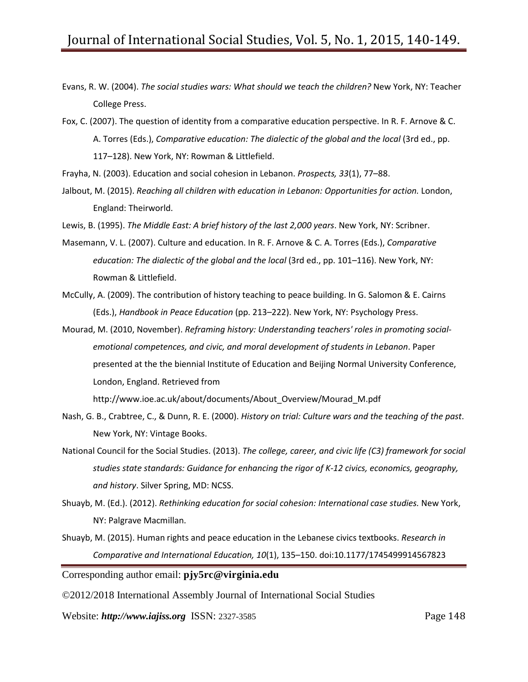- Evans, R. W. (2004). *The social studies wars: What should we teach the children?* New York, NY: Teacher College Press.
- Fox, C. (2007). The question of identity from a comparative education perspective. In R. F. Arnove & C. A. Torres (Eds.), *Comparative education: The dialectic of the global and the local* (3rd ed., pp. 117–128). New York, NY: Rowman & Littlefield.
- Frayha, N. (2003). Education and social cohesion in Lebanon. *Prospects, 33*(1), 77–88.
- Jalbout, M. (2015). *Reaching all children with education in Lebanon: Opportunities for action.* London, England: Theirworld.

Lewis, B. (1995). *The Middle East: A brief history of the last 2,000 years*. New York, NY: Scribner.

- Masemann, V. L. (2007). Culture and education. In R. F. Arnove & C. A. Torres (Eds.), *Comparative education: The dialectic of the global and the local* (3rd ed., pp. 101–116). New York, NY: Rowman & Littlefield.
- McCully, A. (2009). The contribution of history teaching to peace building. In G. Salomon & E. Cairns (Eds.), *Handbook in Peace Education* (pp. 213–222). New York, NY: Psychology Press.
- Mourad, M. (2010, November). *Reframing history: Understanding teachers' roles in promoting socialemotional competences, and civic, and moral development of students in Lebanon*. Paper presented at the the biennial Institute of Education and Beijing Normal University Conference, London, England. Retrieved from

http://www.ioe.ac.uk/about/documents/About\_Overview/Mourad\_M.pdf

- Nash, G. B., Crabtree, C., & Dunn, R. E. (2000). *History on trial: Culture wars and the teaching of the past*. New York, NY: Vintage Books.
- National Council for the Social Studies. (2013). *The college, career, and civic life (C3) framework for social studies state standards: Guidance for enhancing the rigor of K-12 civics, economics, geography, and history*. Silver Spring, MD: NCSS.
- Shuayb, M. (Ed.). (2012). *Rethinking education for social cohesion: International case studies.* New York, NY: Palgrave Macmillan.
- Shuayb, M. (2015). Human rights and peace education in the Lebanese civics textbooks. *Research in Comparative and International Education, 10*(1), 135–150. doi:10.1177/1745499914567823

Corresponding author email: **pjy5rc@virginia.edu**

©2012/2018 International Assembly Journal of International Social Studies